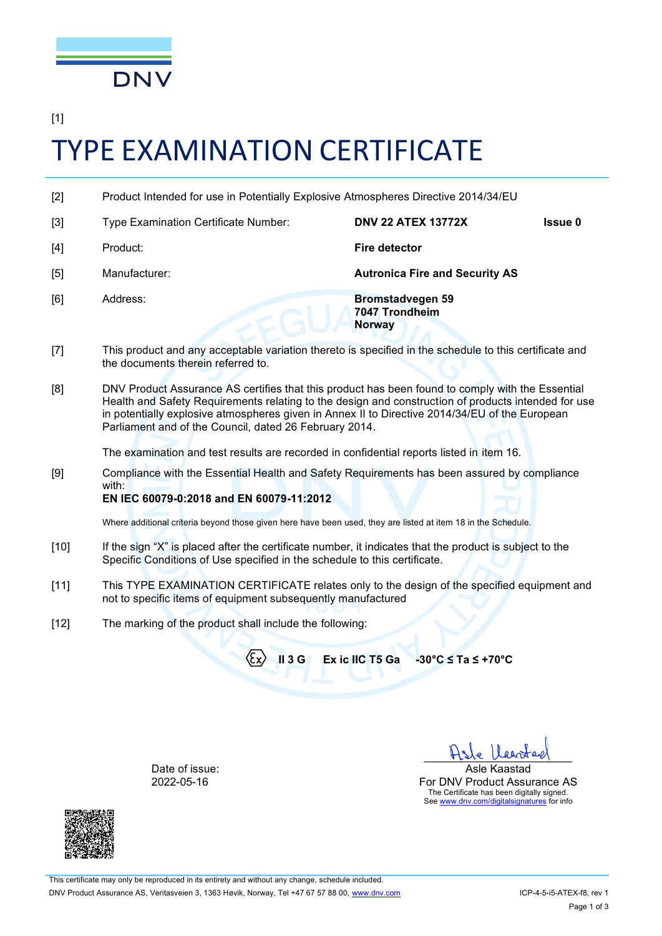

[1]

# TYPE EXAMINATION CERTIFICATE

- [2] Product Intended for use in Potentially Explosive Atmospheres Directive 2014/34/EU
- [3] Type Examination Certificate Number: **DNV 22 ATEX 13772X Issue 0** [4] Product: **Fire detector** [5] Manufacturer: **Autronica Fire and Security AS** [6] Address: **Bromstadvegen 59 7047 Trondheim Norway**
- [7] This product and any acceptable variation thereto is specified in the schedule to this certificate and the documents therein referred to.
- [8] DNV Product Assurance AS certifies that this product has been found to comply with the Essential Health and Safety Requirements relating to the design and construction of products intended for use in potentially explosive atmospheres given in Annex II to Directive 2014/34/EU of the European Parliament and of the Council, dated 26 February 2014.

The examination and test results are recorded in confidential reports listed in item 16.

[9] Compliance with the Essential Health and Safety Requirements has been assured by compliance with:

# **EN IEC 60079-0:2018 and EN 60079-11:2012**

Where additional criteria beyond those given here have been used, they are listed at item 18 in the Schedule.

- [10] If the sign "X" is placed after the certificate number, it indicates that the product is subject to the Specific Conditions of Use specified in the schedule to this certificate.
- [11] This TYPE EXAMINATION CERTIFICATE relates only to the design of the specified equipment and not to specific items of equipment subsequently manufactured
- [12] The marking of the product shall include the following:

**II 3 <sup>G</sup> Ex ic IIC T5 Ga -30°C ≤ Ta ≤ +70°C**

Date of issue: 2022-05-16



\_\_\_\_\_\_\_\_\_\_\_\_\_\_\_\_\_\_\_\_\_\_\_\_ Asle Kaastad For DNV Product Assurance AS The Certificate has been digitally signed. See [www.dnv.com/digitalsignatures](http://www.dnv.com/digitalsignatures) for info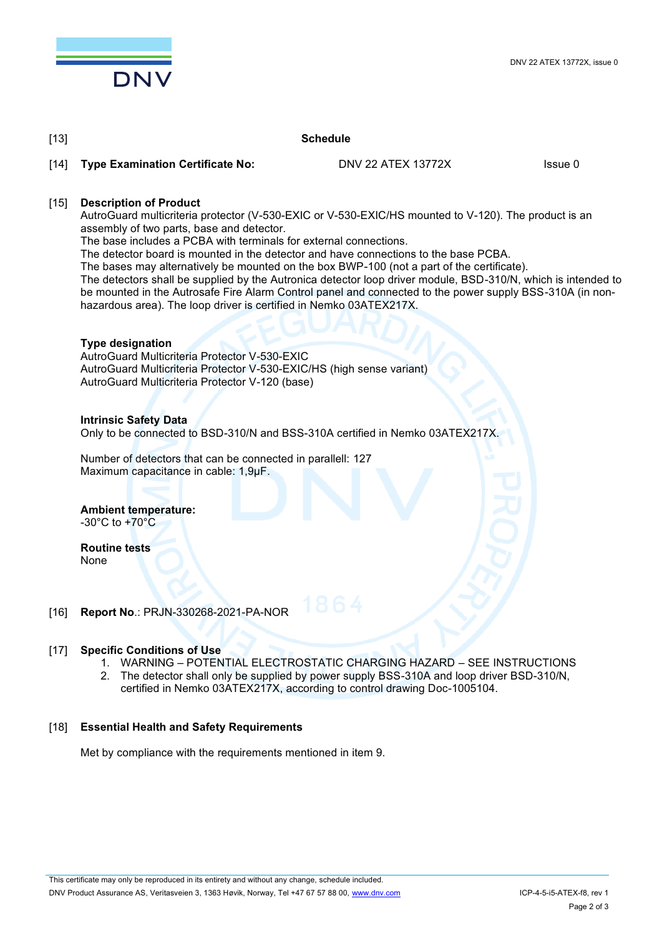

#### [13] **Schedule**

[14] **Type Examination Certificate No: DNV 22 ATEX 13772X** Issue 0

### [15] **Description of Product**

AutroGuard multicriteria protector (V-530-EXIC or V-530-EXIC/HS mounted to V-120). The product is an assembly of two parts, base and detector.

The base includes a PCBA with terminals for external connections.

The detector board is mounted in the detector and have connections to the base PCBA.

The bases may alternatively be mounted on the box BWP-100 (not a part of the certificate).

The detectors shall be supplied by the Autronica detector loop driver module, BSD-310/N, which is intended to be mounted in the Autrosafe Fire Alarm Control panel and connected to the power supply BSS-310A (in nonhazardous area). The loop driver is certified in Nemko 03ATEX217X.

#### **Type designation**

AutroGuard Multicriteria Protector V-530-EXIC AutroGuard Multicriteria Protector V-530-EXIC/HS (high sense variant) AutroGuard Multicriteria Protector V-120 (base)

#### **Intrinsic Safety Data**

Only to be connected to BSD-310/N and BSS-310A certified in Nemko 03ATEX217X.

Number of detectors that can be connected in parallell: 127 Maximum capacitance in cable: 1,9µF.

**Ambient temperature:** -30°C to +70°C

**Routine tests** None

## [16] **Report No**.: PRJN-330268-2021-PA-NOR

#### [17] **Specific Conditions of Use**

- 1. WARNING POTENTIAL ELECTROSTATIC CHARGING HAZARD SEE INSTRUCTIONS
- 2. The detector shall only be supplied by power supply BSS-310A and loop driver BSD-310/N, certified in Nemko 03ATEX217X, according to control drawing Doc-1005104.

#### [18] **Essential Health and Safety Requirements**

Met by compliance with the requirements mentioned in item 9.